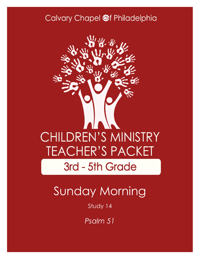### Calvary Chapel @f Philadelphia



# Sunday Morning

Study 14

*Psalm 51*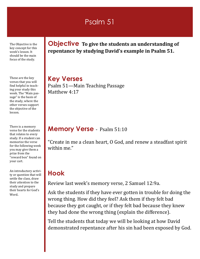### Psalm 51

The Objective is the key concept for this week's lesson. It should be the main focus of the study.

These are the key verses that you will find helpful in teaching your study this week. The "Main passage" is the basis of the study, where the other verses support the objective of the lesson.

There is a memory verse for the students that relates to every study. If a student can memorize the verse for the following week you may give them a prize from the "reward box" found on your cart.

An introductory activity or question that will settle the class, draw their attention to the study and prepare their hearts for God's Word.

**Objective To give the students an understanding of repentance by studying David's example in Psalm 51.**

**Key Verses** Psalm 51—Main Teaching Passage Matthew 4:17

#### **Memory Verse** - Psalm 51:10

"Create in me a clean heart, O God, and renew a steadfast spirit within me."

### **Hook**

Review last week's memory verse, 2 Samuel 12:9a.

Ask the students if they have ever gotten in trouble for doing the wrong thing. How did they feel? Ask them if they felt bad because they got caught, or if they felt bad because they knew they had done the wrong thing (explain the difference).

Tell the students that today we will be looking at how David demonstrated repentance after his sin had been exposed by God.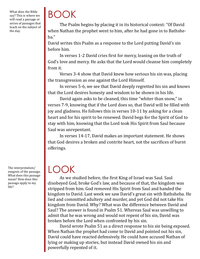What does the Bible say? This is where we will read a passage or series of passages that teach on the subject of the day.

## BOOK

The Psalm begins by placing it in its historical context: "Of David when Nathan the prophet went to him, after he had gone in to Bathsheba."

David writes this Psalm as a response to the Lord putting David's sin before him.

In verses 1-2 David cries first for mercy, leaning on the truth of God's love and mercy. He asks that the Lord would cleanse him completely from it.

Verses 3-4 show that David knew how serious his sin was, placing the transgression as one against the Lord Himself.

In verses 5-6, we see that David deeply regretted his sin and knows that the Lord desires honesty and wisdom to be shown in his life.

David again asks to be cleaned, this time "whiter than snow," in verses 7-9, knowing that if the Lord does so, that David will be filled with joy and gladness. He follows this in verses 10-11 by asking for a clean heart and for his spirit to be renewed. David begs for the Spirit of God to stay with him, knowing that the Lord took His Spirit from Saul because Saul was unrepentant.

In verses 14-17, David makes an important statement. He shows that God desires a broken and contrite heart, not the sacrifices of burnt offerings.

### LOOK

As we studied before, the first King of Israel was Saul. Saul disobeyed God, broke God's law, and because of that, the kingdom was stripped from him. God removed His Spirit from Saul and handed the kingdom to David. Last week we saw David's great sin with Bathsheba. He lied and committed adultery and murder, and yet God did not take His kingdom from David. Why? What was the difference between David and Saul? The answer is found in Psalm 51. Whereas Saul was unwilling to admit that he was wrong and would not repent of his sin, David was broken before the Lord when confronted by his sin.

David wrote Psalm 51 as a direct response to his sin being exposed. When Nathan the prophet had come to David and pointed out his sin, David could have reacted defensively. He could have accused Nathan of lying or making up stories, but instead David owned his sin and powerfully repented of it.

The interpretation/ exegesis of the passage. What does this passage mean? How does this passage apply to my life?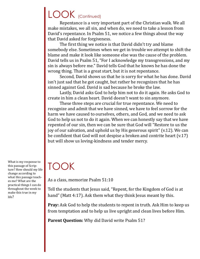## LOOK (Continued)

Repentance is a very important part of the Christian walk. We all make mistakes, we all sin, and when do, we need to take a lesson from David's repentance. In Psalm 51, we notice a few things about the way that David asked for forgiveness.

The first thing we notice is that David didn't try and blame somebody else. Sometimes when we get in trouble we attempt to shift the blame and make it look like someone else was the cause of the problem. David tells us in Psalm 51, "For I acknowledge my transgressions, and my sin is always before me." David tells God that he knows he has done the wrong thing. That is a great start, but it is not repentance.

Second, David shows us that he is sorry for what he has done. David isn't just sad that he got caught, but rather he recognizes that he has sinned against God. David is sad because he broke the law.

Lastly, David asks God to help him not to do it again. He asks God to create in him a clean heart. David doesn't want to sin anymore.

These three steps are crucial for true repentance. We need to recognize and admit that we have sinned, we have to feel sorrow for the harm we have caused to ourselves, others, and God, and we need to ask God to help us not to do it again. When we can honestly say that we have repented of our sin, then we can be sure that God will "Restore to us the joy of our salvation, and uphold us by His generous spirit" (v.12). We can be confident that God will not despise a broken and contrite heart (v.17) but will show us loving-kindness and tender mercy.

What is my response to this passage of Scripture? How should my life change according to what this passage teaches me? What are the practical things I can do throughout the week to make this true in my life?

## TOOK

As a class, memorize Psalm 51:10

Tell the students that Jesus said, "Repent, for the Kingdom of God is at hand" (Matt 4:17). Ask them what they think Jesus meant by this.

**Pray:** Ask God to help the students to repent in truth. Ask Him to keep us from temptation and to help us live upright and clean lives before Him.

**Parent Question:** Why did David write Psalm 51?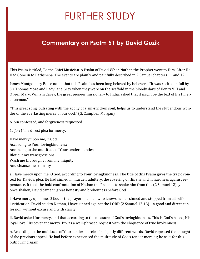## FURTHER STUDY

### **Commentary on Psalm 51 by David Guzik**

This Psalm is titled, To the Chief Musician. A Psalm of David When Nathan the Prophet went to Him, After He Had Gone in to Bathsheba. The events are plainly and painfully described in 2 Samuel chapters 11 and 12.

James Montgomery Boice noted that this Psalm has been long beloved by believers: "It was recited in full by Sir Thomas More and Lady Jane Grey when they were on the scaffold in the bloody days of Henry VIII and Queen Mary. William Carey, the great pioneer missionary to India, asked that it might be the text of his funeral sermon."

"This great song, pulsating with the agony of a sin-stricken soul, helps us to understand the stupendous wonder of the everlasting mercy of our God." (G. Campbell Morgan)

A. Sin confessed, and forgiveness requested.

1. (1-2) The direct plea for mercy.

Have mercy upon me, O God, According to Your lovingkindness; According to the multitude of Your tender mercies, Blot out my transgressions. Wash me thoroughly from my iniquity, And cleanse me from my sin.

a. Have mercy upon me, O God, according to Your lovingkindness: The title of this Psalm gives the tragic context for David's plea. He had sinned in murder, adultery, the covering of His sin, and in hardness against repentance. It took the bold confrontation of Nathan the Prophet to shake him from this (2 Samuel 12); yet once shaken, David came in great honesty and brokenness before God.

i. Have mercy upon me, O God is the prayer of a man who knows he has sinned and stopped from all selfjustification. David said to Nathan, I have sinned against the LORD (2 Samuel 12:13) – a good and direct confession, without excuse and with clarity.

ii. David asked for mercy, and that according to the measure of God's lovingkindness. This is God's hesed, His loyal love, His covenant mercy. It was a well-phrased request with the eloquence of true brokenness.

b. According to the multitude of Your tender mercies: In slightly different words, David repeated the thought of the previous appeal. He had before experienced the multitude of God's tender mercies; he asks for this outpouring again.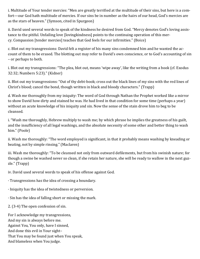i. Multitude of Your tender mercies: "Men are greatly terrified at the multitude of their sins, but here is a comfort—our God hath multitude of mercies. If our sins be in number as the hairs of our head, God's mercies are as the stars of heaven." (Symson, cited in Spurgeon)

ii. David used several words to speak of the kindness he desired from God. "Mercy denotes God's loving assistance to the pitiful. Unfailing love [lovingkindness] points to the continuing operation of this mercy. Compassion [tender mercies] teaches that God feels for our infirmities." (Boice)

c. Blot out my transgressions: David felt a register of his many sins condemned him and he wanted the account of them to be erased. The blotting out may refer to David's own conscience, or to God's accounting of sin – or perhaps to both.

i. Blot out my transgressions: "The plea, blot out, means 'wipe away', like the writing from a book (cf. Exodus 32:32; Numbers 5:23)." (Kidner)

ii. Blot out my transgressions: "Out of thy debt-book; cross out the black lines of my sins with the red lines of Christ's blood; cancel the bond, though written in black and bloody characters." (Trapp)

d. Wash me thoroughly from my iniquity: The word of God through Nathan the Prophet worked like a mirror to show David how dirty and stained he was. He had lived in that condition for some time (perhaps a year) without an acute knowledge of his iniquity and sin. Now the sense of the stain drove him to beg to be cleansed.

i. "Wash me thoroughly, Hebrew multiply to wash me; by which phrase he implies the greatness of his guilt, and the insufficiency of all legal washings, and the absolute necessity of some other and better thing to wash him." (Poole)

ii. Wash me thoroughly: "The word employed is significant, in that it probably means washing by kneading or beating, not by simple rinsing." (Maclaren)

iii. Wash me thoroughly: "To be cleansed not only from outward defilements, but from his swinish nature; for though a swine be washed never so clean, if she retain her nature, she will be ready to wallow in the next guzzle." (Trapp)

iv. David used several words to speak of his offense against God.

· Transgressions has the idea of crossing a boundary.

- · Iniquity has the idea of twistedness or perversion.
- · Sin has the idea of falling short or missing the mark.

2. (3-4) The open confession of sin.

For I acknowledge my transgressions, And my sin is always before me. Against You, You only, have I sinned, And done this evil in Your sight– That You may be found just when You speak, And blameless when You judge.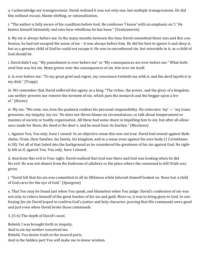a. I acknowledge my transgressions: David realized it was not only one, but multiple transgressions. He did this without excuse, blame-shifting, or rationalization.

i. "The author is fully aware of his condition before God. He confesses 'I know' with an emphasis on 'I.' He knows himself intimately and sees how rebellious he has been." (VanGemeren)

b. My sin is always before me: In the many months between the time David committed these sins and this confession, he had not escaped the sense of sin – it was always before him. He did his best to ignore it and deny it, but as a genuine child of God he could not escape it. He was in unconfessed sin, but miserable in it, as a child of God should be.

i. David didn't say, "My punishment is ever before me" or "My consequences are ever before me." What bothered him was his sin. Many grieve over the consequences of sin, few over sin itself.

ii. Is ever before me: "To my great grief and regret, my conscience twitteth me with it, and the devil layeth it in my dish." (Trapp)

iii. We remember that David suffered this agony as a king. "The riches, the power, and the glory of a kingdom, can neither prevent nor remove the torment of sin, which puts the monarch and the beggar upon a level." (Horne)

iv. My sin: "We note, too, how the psalmist realises his personal responsibility. He reiterates 'my' — 'my transgressions, my iniquity, my sin.' He does not throw blame on circumstances, or talk about temperament or maxims of society or bodily organisation. All these had some share in impelling him to sin; but after all allowance made for them, the deed is the doer's, and he must bear its burden." (Maclaren)

c. Against You, You only, have I sinned: In an objective sense this was not true. David had sinned against Bathsheba, Uriah, their families, his family, his kingdom, and in a sense even against his own body (1 Corinthians 6:18). Yet all of that faded into the background as he considered the greatness of his sin against God. He rightly felt as if, against You, You only, have I sinned.

d. And done this evil in Your sight: David realized that God was there and God was looking when he did his evil. He was not absent from the bedroom of adultery or the place where the command to kill Uriah was given.

i. "David felt that his sin was committed in all its filthiness while Jehovah himself looked on. None but a child of God cares for the eye of God." (Spurgeon)

e. That You may be found just when You speak, and blameless when You judge: David's confession of sin was not only to relieve himself of the great burden of his sin and guilt. More so, it was to bring glory to God. In confessing his sin David hoped to confirm God's justice and holy character, proving that His commands were good and just even when David broke those commands.

3. (5-6) The depth of David's need.

Behold, I was brought forth in iniquity, And in sin my mother conceived me. Behold, You desire truth in the inward parts, And in the hidden part You will make me to know wisdom.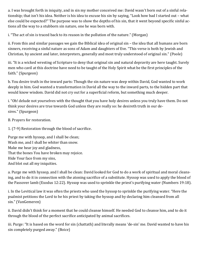a. I was brought forth in iniquity, and in sin my mother conceived me: David wasn't born out of a sinful relationship; that isn't his idea. Neither is his idea to excuse his sin by saying, "Look how bad I started out – what else could be expected?" The purpose was to show the depths of his sin, that it went beyond specific sinful actions all the way to a stubborn sin nature, one he was born with.

i. "The act of sin is traced back to its reason in the pollution of the nature." (Morgan)

ii. From this and similar passages we gain the Biblical idea of original sin – the idea that all humans are born sinners, receiving a sinful nature as sons of Adam and daughters of Eve. "This verse is both by Jewish and Christian, by ancient and later, interpreters, generally and most truly understood of original sin." (Poole)

iii. "It is a wicked wresting of Scripture to deny that original sin and natural depravity are here taught. Surely men who cavil at this doctrine have need to be taught of the Holy Spirit what be the first principles of the faith." (Spurgeon)

b. You desire truth in the inward parts: Though the sin nature was deep within David, God wanted to work deeply in him. God wanted a transformation in David all the way to the inward parts, to the hidden part that would know wisdom. David did not cry out for a superficial reform, but something much deeper.

i. "Oh! delude not yourselves with the thought that you have holy desires unless you truly have them. Do not think your desires are true towards God unless they are really so: he desireth truth in our desires." (Spurgeon)

B. Prayers for restoration.

1. (7-9) Restoration through the blood of sacrifice.

Purge me with hyssop, and I shall be clean; Wash me, and I shall be whiter than snow. Make me hear joy and gladness, That the bones You have broken may rejoice. Hide Your face from my sins, And blot out all my iniquities.

a. Purge me with hyssop, and I shall be clean: David looked for God to do a work of spiritual and moral cleansing, and to do it in connection with the atoning sacrifice of a substitute. Hyssop was used to apply the blood of the Passover lamb (Exodus 12:22). Hyssop was used to sprinkle the priest's purifying water (Numbers 19:18).

i. In the Levitical law it was often the priests who used the hyssop to sprinkle the purifying water. "Here the psalmist petitions the Lord to be his priest by taking the hyssop and by declaring him cleansed from all sin." (VanGemeren)

ii. David didn't think for a moment that he could cleanse himself. He needed God to cleanse him, and to do it through the blood of the perfect sacrifice anticipated by animal sacrifices.

iii. Purge: "It is based on the word for sin (chattath) and literally means 'de-sin' me. David wanted to have his sin completely purged away." (Boice)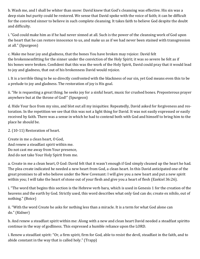b. Wash me, and I shall be whiter than snow: David knew that God's cleansing was effective. His sin was a deep stain but purity could be restored. We sense that David spoke with the voice of faith; it can be difficult for the convicted sinner to believe in such complete cleansing. It takes faith to believe God despite the doubt and difficulty.

i. "God could make him as if he had never sinned at all. Such is the power of the cleansing work of God upon the heart that he can restore innocence to us, and make us as if we had never been stained with transgression at all." (Spurgeon)

c. Make me hear joy and gladness, that the bones You have broken may rejoice: David felt the brokennessfitting for the sinner under the conviction of the Holy Spirit; it was so severe he felt as if his bones were broken. Confident that this was the work of the Holy Spirit, David could pray that it would lead to joy and gladness, that out of his brokenness David would rejoice.

i. It is a terrible thing to be so directly confronted with the blackness of our sin, yet God means even this to be a prelude to joy and gladness. The restoration of joy is His goal.

ii. "He is requesting a great thing; he seeks joy for a sinful heart, music for crushed bones. Preposterous prayer anywhere but at the throne of God!" (Spurgeon)

d. Hide Your face from my sins, and blot out all my iniquities: Repeatedly, David asked for forgiveness and restoration. In the repetition we see that this was not a light thing for David. It was not easily expressed or easily received by faith. There was a sense in which he had to contend both with God and himself to bring him to the place he should be.

#### 2. (10-11) Restoration of heart.

Create in me a clean heart, O God, And renew a steadfast spirit within me. Do not cast me away from Your presence, And do not take Your Holy Spirit from me.

a. Create in me a clean heart, O God: David felt that it wasn't enough if God simply cleaned up the heart he had. The plea create indicated he needed a new heart from God, a clean heart. In this David anticipated one of the great promises to all who believe under the New Covenant: I will give you a new heart and put a new spirit within you; I will take the heart of stone out of your flesh and give you a heart of flesh (Ezekiel 36:26).

i. "The word that begins this section is the Hebrew verb bara, which is used in Genesis 1 for the creation of the heavens and the earth by God. Strictly used, this word describes what only God can do; create ex nihilo, out of nothing." (Boice)

ii. "With the word Create he asks for nothing less than a miracle. It is a term for what God alone can do." (Kidner)

b. And renew a steadfast spirit within me: Along with a new and clean heart David needed a steadfast spiritto continue in the way of godliness. This expressed a humble reliance upon the LORD.

i. Renew a steadfast spirit: "Or, a firm spirit, firm for God, able to resist the devil, steadfast in the faith, and to abide constant in the way that is called holy." (Trapp)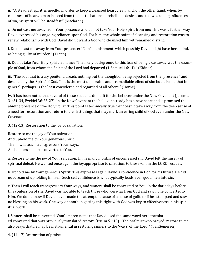ii. "'A steadfast spirit' is needful in order to keep a cleansed heart clean; and, on the other hand, when, by cleanness of heart, a man is freed from the perturbations of rebellious desires and the weakening influences of sin, his spirit will be steadfast." (Maclaren)

c. Do not cast me away from Your presence, and do not take Your Holy Spirit from me: This was a further way David expressed his ongoing reliance upon God. For him, the whole point of cleansing and restoration was to renew relationship with God. David didn't want a God who cleansed him yet remained distant.

i. Do not cast me away from Your presence: "Cain's punishment, which possibly David might have here mind, as being guilty of murder." (Trapp)

ii. Do not take Your Holy Spirit from me: "The likely background to this fear of being a castaway was the example of Saul, from whom the Spirit of the Lord had departed (1 Samuel 16:14)." (Kidner)

iii. "The soul that is truly penitent, dreads nothing but the thought of being rejected from the 'presence,' and deserted by the 'Spirit' of God. This is the most deplorable and irremediable effect of sin; but it is one that in general, perhaps, is the least considered and regarded of all others." (Horne)

iv. It has been noted that several of these requests don't fit for the believer under the New Covenant (Jeremiah 31:31-34, Ezekiel 36:25-27). In the New Covenant the believer already has a new heart and is promised the abiding presence of the Holy Spirit. This point is technically true, yet doesn't take away from the deep sense of a need for restoration and return to the first things that may mark an erring child of God even under the New Covenant.

3. (12-13) Restoration to the joy of salvation.

Restore to me the joy of Your salvation, And uphold me by Your generous Spirit. Then I will teach transgressors Your ways, And sinners shall be converted to You.

a. Restore to me the joy of Your salvation: In his many months of unconfessed sin, David felt the misery of spiritual defeat. He wanted once again the joyappropriate to salvation, to those whom the LORD rescues.

b. Uphold me by Your generous Spirit: This expresses again David's confidence in God for his future. He did not dream of upholding himself. Such self confidence is what typically leads even good men into sin.

c. Then I will teach transgressors Your ways, and sinners shall be converted to You: In the dark days before this confession of sin, David was not able to teach those who were far from God and saw none convertedto Him. We don't know if David never made the attempt because of a sense of guilt, or if he attempted and saw no blessing on his work. One way or another, getting this right with God was key to effectiveness in his spiritual work.

i. Sinners shall be converted: VanGemeren notes that David used the same word here translated converted that was previously translated restore (Psalm 51:12). "The psalmist who prayed 'restore to me' also prays that he may be instrumental in restoring sinners to the 'ways' of the Lord." (VanGemeren)

4. (14-17) Restoration of praise.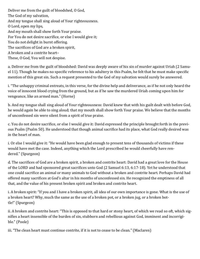Deliver me from the guilt of bloodshed, O God, The God of my salvation, And my tongue shall sing aloud of Your righteousness. O Lord, open my lips, And my mouth shall show forth Your praise. For You do not desire sacrifice, or else I would give it; You do not delight in burnt offering. The sacrifices of God are a broken spirit, A broken and a contrite heart– These, O God, You will not despise.

a. Deliver me from the guilt of bloodshed: David was deeply aware of his sin of murder against Uriah (2 Samuel 11). Though he makes no specific reference to his adultery in this Psalm, he felt that he must make specific mention of this great sin. Such a request presented to the God of my salvation would surely be answered.

i. "The unhappy criminal entreats, in this verse, for the divine help and deliverance, as if he not only heard the voice of innocent blood crying from the ground, but as if he saw the murdered Uriah coming upon him for vengeance, like an armed man." (Horne)

b. And my tongue shall sing aloud of Your righteousness: David knew that with his guilt dealt with before God, he would again be able to sing aloud; that my mouth shall show forth Your praise. We believe that the months of unconfessed sin were silent from a spirit of true praise.

c. You do not desire sacrifice, or else I would give it: David expressed the principle brought forth in the previous Psalm (Psalm 50). He understood that though animal sacrifice had its place, what God really desired was in the heart of man.

i. Or else I would give it: "He would have been glad enough to present tens of thousands of victims if these would have met the case. Indeed, anything which the Lord prescribed he would cheerfully have rendered." (Spurgeon)

d. The sacrifices of God are a broken spirit, a broken and contrite heart: David had a great love for the House of the LORD and had sponsored great sacrifices unto God (2 Samuel 6:13, 6:17-18). Yet he understood that one could sacrifice an animal or many animals to God without a broken and contrite heart. Perhaps David had offered many sacrifices at God's altar in his months of unconfessed sin. He recognized the emptiness of all that, and the value of his present broken spirit and broken and contrite heart.

i. A broken spirit: "If you and I have a broken spirit, all idea of our own importance is gone. What is the use of a broken heart? Why, much the same as the use of a broken pot, or a broken jug, or a broken bottle!" (Spurgeon)

ii. A broken and contrite heart: "This is opposed to that hard or stony heart, of which we read so oft, which signifies a heart insensible of the burden of sin, stubborn and rebellious against God, imminent and incorrigible." (Poole)

iii. "The clean heart must continue contrite, if it is not to cease to be clean." (Maclaren)